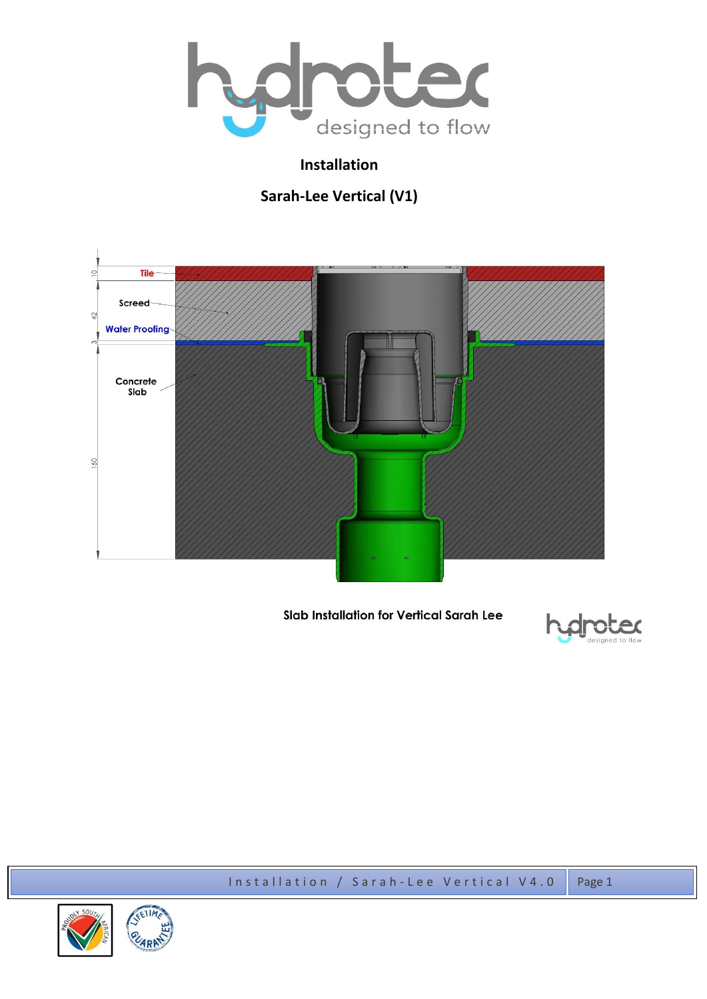

# **Installation**

# **Sarah-Lee Vertical (V1)**



## Slab Installation for Vertical Sarah Lee



Installation / Sarah-Lee Vertical V4.0 Page 1

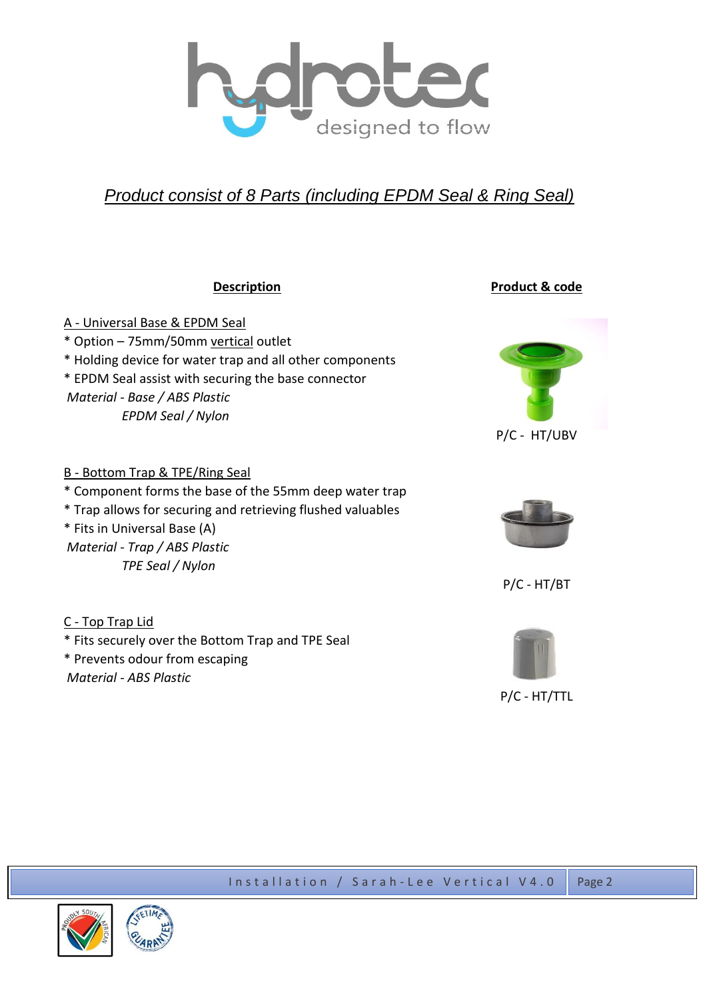

# *Product consist of 8 Parts (including EPDM Seal & Ring Seal)*

| <b>Description</b>                                                                                                                                                                                                                                         | Product & code |
|------------------------------------------------------------------------------------------------------------------------------------------------------------------------------------------------------------------------------------------------------------|----------------|
| <u>A - Universal Base &amp; EPDM Seal</u><br>* Option - 75mm/50mm vertical outlet<br>* Holding device for water trap and all other components<br>* EPDM Seal assist with securing the base connector<br>Material - Base / ABS Plastic<br>EPDM Seal / Nylon | P/C - HT/UBV   |
| <b>B</b> - Bottom Trap & TPE/Ring Seal<br>* Component forms the base of the 55mm deep water trap<br>* Trap allows for securing and retrieving flushed valuables<br>* Fits in Universal Base (A)<br>Material - Trap / ABS Plastic<br>TPE Seal / Nylon       | $P/C - HT/BT$  |
| C - Top Trap Lid<br>* Fits securely over the Bottom Trap and TPE Seal<br>* Prevents odour from escaping<br>Material - ABS Plastic                                                                                                                          | P/C - HT/TTL   |



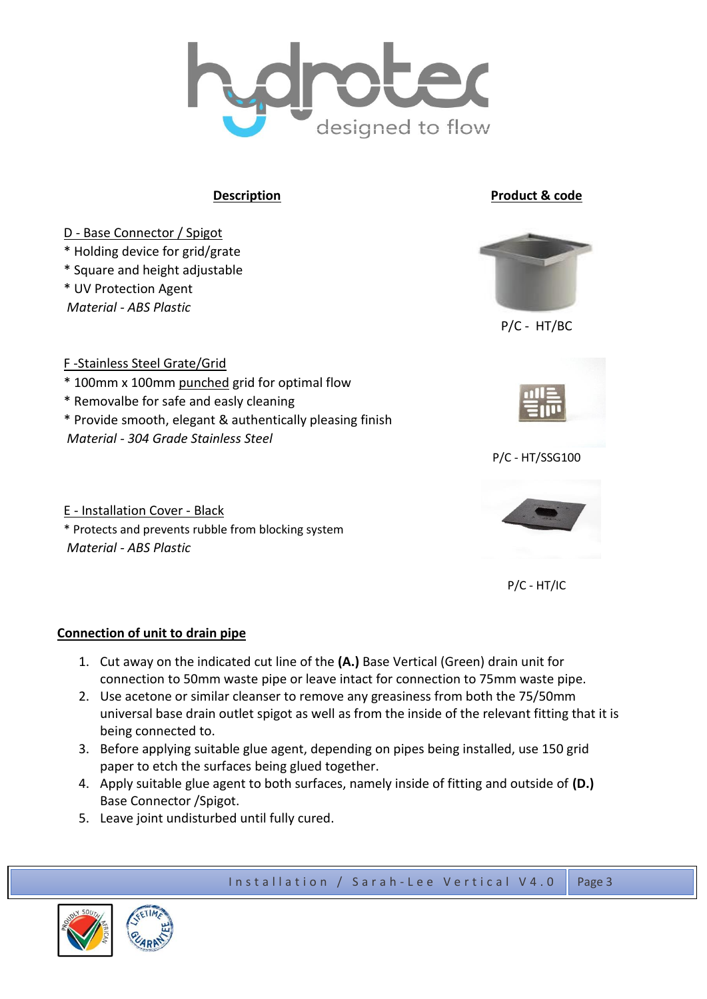

**Description Product & code** 



P/C - HT/IC

## **Connection of unit to drain pipe**

- 1. Cut away on the indicated cut line of the **(A.)** Base Vertical (Green) drain unit for connection to 50mm waste pipe or leave intact for connection to 75mm waste pipe.
- 2. Use acetone or similar cleanser to remove any greasiness from both the 75/50mm universal base drain outlet spigot as well as from the inside of the relevant fitting that it is being connected to.
- 3. Before applying suitable glue agent, depending on pipes being installed, use 150 grid paper to etch the surfaces being glued together.
- 4. Apply suitable glue agent to both surfaces, namely inside of fitting and outside of **(D.)** Base Connector /Spigot.
- 5. Leave joint undisturbed until fully cured.